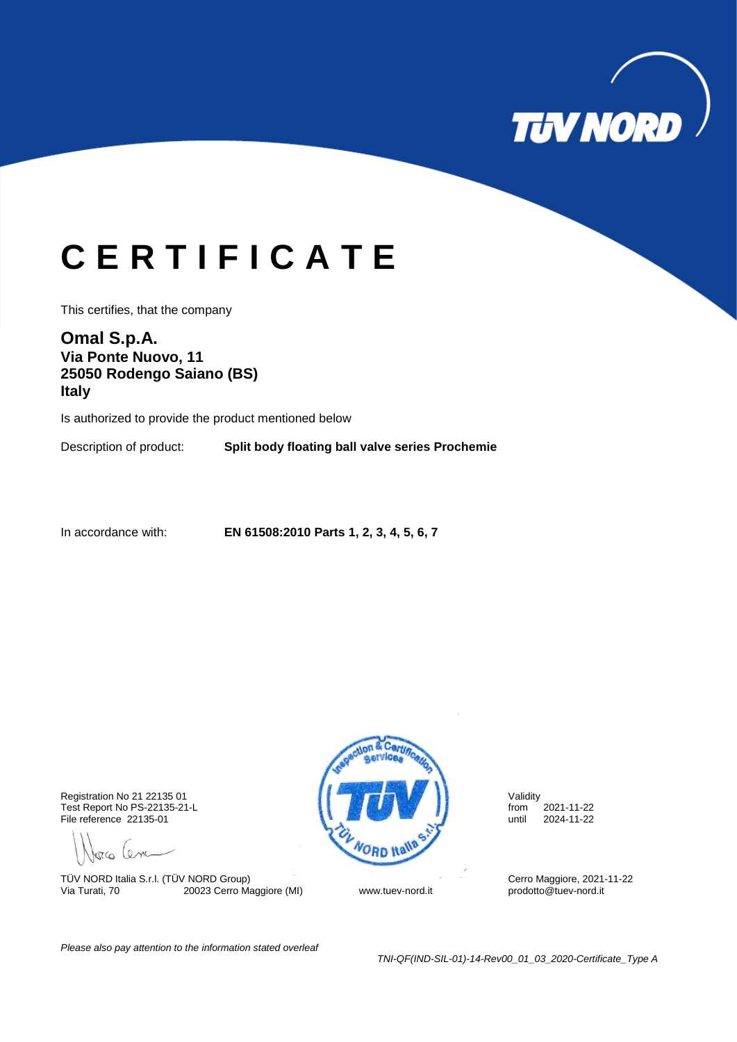

## **C E R T I F I C A T E**

This certifies, that the company

**Omal S.p.A. Via Ponte Nuovo, 11 25050 Rodengo Saiano (BS) Italy**

Is authorized to provide the product mentioned below

Description of product: **Split body floating ball valve series Prochemie**

In accordance with: **EN 61508:2010 Parts 1, 2, 3, 4, 5, 6, 7**

File reference 22135-01

porco Cenc

TÜV NORD Italia S.r.l. (TÜV NORD Group)<br>
Via Turati, 70 20023 Cerro Maggiore (MI) Www.tuev-nord.it prodotto@tuev-nord.it 20023 Cerro Maggiore (MI) www.tuev-nord.it



*Please also pay attention to the information stated overleaf*